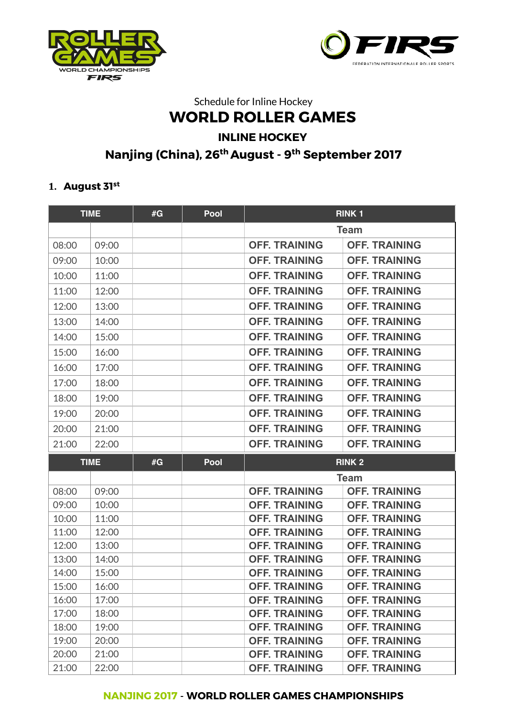



# Schedule for Inline Hockey **WORLD ROLLER GAMES INLINE HOCKEY Nanjing (China), 26th August - 9th September 2017**

#### **1. August 31st**

|       | <b>TIME</b> | #G | Pool | <b>RINK1</b>         |                      |
|-------|-------------|----|------|----------------------|----------------------|
|       |             |    |      |                      | <b>Team</b>          |
| 08:00 | 09:00       |    |      | <b>OFF. TRAINING</b> | <b>OFF. TRAINING</b> |
| 09:00 | 10:00       |    |      | <b>OFF. TRAINING</b> | <b>OFF. TRAINING</b> |
| 10:00 | 11:00       |    |      | <b>OFF. TRAINING</b> | <b>OFF. TRAINING</b> |
| 11:00 | 12:00       |    |      | <b>OFF. TRAINING</b> | <b>OFF. TRAINING</b> |
| 12:00 | 13:00       |    |      | <b>OFF. TRAINING</b> | <b>OFF. TRAINING</b> |
| 13:00 | 14:00       |    |      | <b>OFF. TRAINING</b> | <b>OFF. TRAINING</b> |
| 14:00 | 15:00       |    |      | <b>OFF. TRAINING</b> | <b>OFF. TRAINING</b> |
| 15:00 | 16:00       |    |      | <b>OFF. TRAINING</b> | <b>OFF. TRAINING</b> |
| 16:00 | 17:00       |    |      | <b>OFF. TRAINING</b> | <b>OFF. TRAINING</b> |
| 17:00 | 18:00       |    |      | <b>OFF. TRAINING</b> | <b>OFF. TRAINING</b> |
| 18:00 | 19:00       |    |      | <b>OFF. TRAINING</b> | <b>OFF. TRAINING</b> |
| 19:00 | 20:00       |    |      | <b>OFF. TRAINING</b> | <b>OFF. TRAINING</b> |
| 20:00 | 21:00       |    |      | <b>OFF. TRAINING</b> | <b>OFF. TRAINING</b> |
|       |             |    |      |                      |                      |
| 21:00 | 22:00       |    |      | <b>OFF. TRAINING</b> | <b>OFF. TRAINING</b> |
|       | <b>TIME</b> | #G | Pool | <b>RINK 2</b>        |                      |
|       |             |    |      |                      | <b>Team</b>          |
| 08:00 | 09:00       |    |      | <b>OFF. TRAINING</b> | <b>OFF. TRAINING</b> |
| 09:00 | 10:00       |    |      | <b>OFF. TRAINING</b> | <b>OFF. TRAINING</b> |
| 10:00 | 11:00       |    |      | <b>OFF. TRAINING</b> | <b>OFF. TRAINING</b> |
| 11:00 | 12:00       |    |      | <b>OFF. TRAINING</b> | <b>OFF. TRAINING</b> |
| 12:00 | 13:00       |    |      | <b>OFF. TRAINING</b> | <b>OFF. TRAINING</b> |
| 13:00 | 14:00       |    |      | <b>OFF. TRAINING</b> | <b>OFF. TRAINING</b> |
| 14:00 | 15:00       |    |      | <b>OFF. TRAINING</b> | <b>OFF. TRAINING</b> |
| 15:00 | 16:00       |    |      | <b>OFF. TRAINING</b> | <b>OFF. TRAINING</b> |
| 16:00 | 17:00       |    |      | <b>OFF. TRAINING</b> | <b>OFF. TRAINING</b> |
| 17:00 | 18:00       |    |      | <b>OFF. TRAINING</b> | <b>OFF. TRAINING</b> |
| 18:00 | 19:00       |    |      | <b>OFF. TRAINING</b> | <b>OFF. TRAINING</b> |
| 19:00 | 20:00       |    |      | <b>OFF. TRAINING</b> | <b>OFF. TRAINING</b> |
| 20:00 | 21:00       |    |      | <b>OFF. TRAINING</b> | <b>OFF. TRAINING</b> |
| 21:00 | 22:00       |    |      | <b>OFF. TRAINING</b> | <b>OFF. TRAINING</b> |

#### **NANJING 2017** - **WORLD ROLLER GAMES CHAMPIONSHIPS**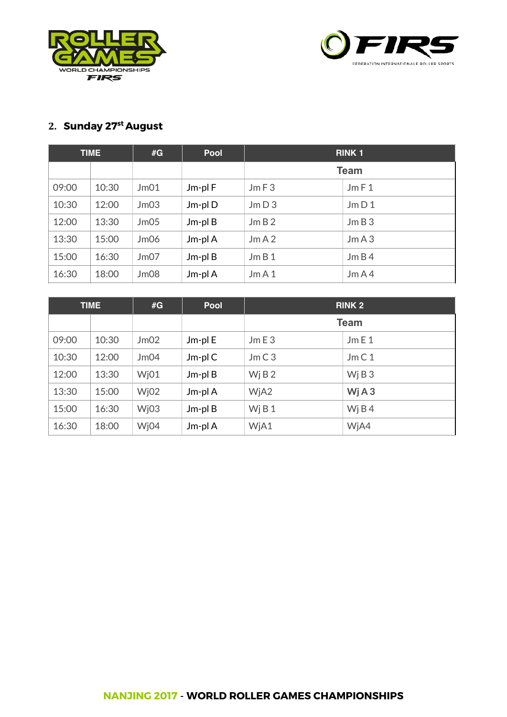



#### **2. Sunday 27st August**

|       | <b>TIME</b> | #G   | <b>Pool</b>  | <b>RINK1</b> |      |
|-------|-------------|------|--------------|--------------|------|
|       |             |      |              | <b>Team</b>  |      |
| 09:00 | 10:30       | Jm01 | Jm-plF       | JmF3         | JmF1 |
| 10:30 | 12:00       | Jm03 | $Jm$ -pl $D$ | JmD3         | JmD1 |
| 12:00 | 13:30       | Jm05 | $Jm$ -pl $B$ | JmB2         | JmB3 |
| 13:30 | 15:00       | Jm06 | Jm-pl A      | JmA2         | JmA3 |
| 15:00 | 16:30       | Jm07 | $Jm$ -pl $B$ | JmB1         | JmB4 |
| 16:30 | 18:00       | Jm08 | Jm-pl A      | JmA1         | JmA4 |

|       | <b>TIME</b> | #G                | <b>Pool</b>  | <b>RINK 2</b>      |                               |
|-------|-------------|-------------------|--------------|--------------------|-------------------------------|
|       |             |                   |              | <b>Team</b>        |                               |
| 09:00 | 10:30       | Jm02              | Jm-pl E      | JmE3               | JmE1                          |
| 10:30 | 12:00       | Jm04              | $Jm$ -pl $C$ | JmC3               | JmC1                          |
| 12:00 | 13:30       | W <sub>i</sub> 01 | $Jm$ -pl $B$ | W <sub>i</sub> B 2 | W <sub>i</sub> B <sub>3</sub> |
| 13:30 | 15:00       | W <sub>i</sub> 02 | Jm-pl A      | WjA2               | WjA3                          |
| 15:00 | 16:30       | Wj03              | $Jm$ -pl $B$ | WjB1               | Wj B $4$                      |
| 16:30 | 18:00       | Wj04              | Jm-pl A      | WjA1               | WjA4                          |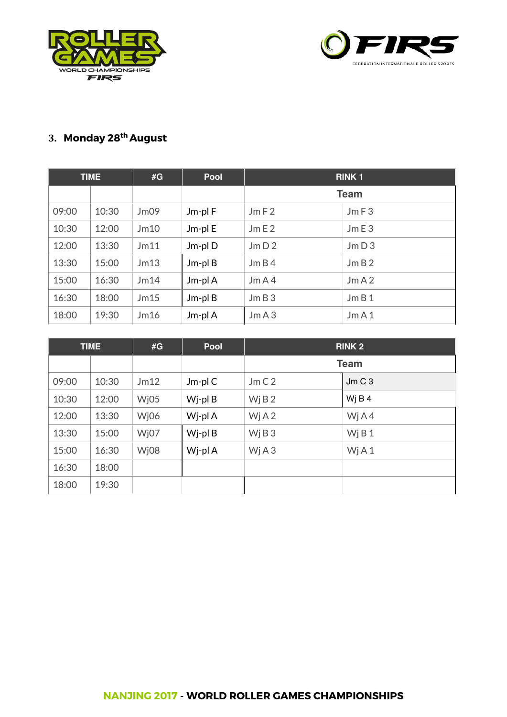



## **3. Monday 28th August**

|       | <b>TIME</b> | #G   | Pool         | <b>RINK1</b> |      |
|-------|-------------|------|--------------|--------------|------|
|       |             |      |              | <b>Team</b>  |      |
| 09:00 | 10:30       | Jm09 | Jm-plF       | JmF2         | JmF3 |
| 10:30 | 12:00       | Jm10 | Jm-pl E      | JmE2         | JmE3 |
| 12:00 | 13:30       | Jm11 | Jm-pl D      | JmD2         | JmD3 |
| 13:30 | 15:00       | Jm13 | $Jm$ -pl $B$ | JmB4         | JmB2 |
| 15:00 | 16:30       | Jm14 | Jm-pl A      | JmA4         | JmA2 |
| 16:30 | 18:00       | Jm15 | $Jm$ -pl $B$ | JmB3         | JmB1 |
| 18:00 | 19:30       | Jm16 | Jm-pl A      | JmA3         | JmA1 |

|       | <b>TIME</b><br>#G |      | Pool         | <b>RINK 2</b> |          |
|-------|-------------------|------|--------------|---------------|----------|
|       |                   |      |              | <b>Team</b>   |          |
| 09:00 | 10:30             | Jm12 | $Jm$ -pl $C$ | JmC2          | JmC3     |
| 10:30 | 12:00             | Wj05 | Wj-pl B      | WjB2          | Wi B $4$ |
| 12:00 | 13:30             | Wj06 | Wj-pl A      | WjA2          | Wj $A4$  |
| 13:30 | 15:00             | Wj07 | Wj-pl B      | WjB3          | WjB1     |
| 15:00 | 16:30             | Wj08 | Wj-pl A      | WjA3          | WjA1     |
| 16:30 | 18:00             |      |              |               |          |
| 18:00 | 19:30             |      |              |               |          |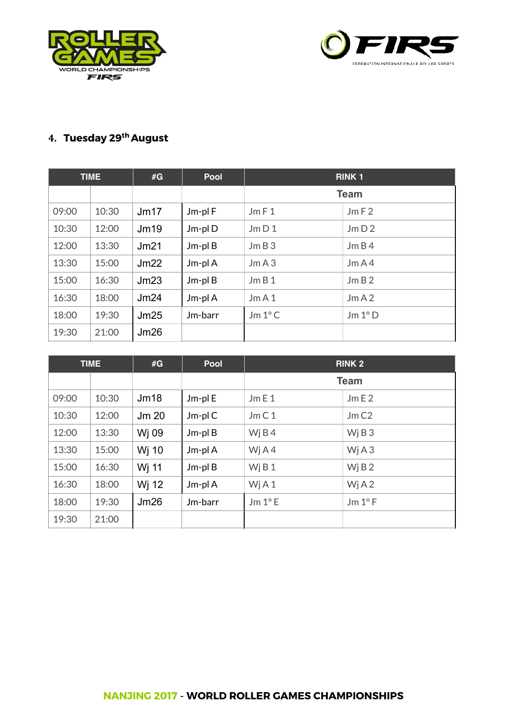



## **4. Tuesday 29th August**

|       | <b>TIME</b> | #G   | Pool         | <b>RINK1</b>    |         |
|-------|-------------|------|--------------|-----------------|---------|
|       |             |      |              | <b>Team</b>     |         |
| 09:00 | 10:30       | Jm17 | Jm-plF       | JmF1            | JmF2    |
| 10:30 | 12:00       | Jm19 | Jm-plD       | Jm D1           | Jm D2   |
| 12:00 | 13:30       | Jm21 | $Jm$ -pl $B$ | JmB3            | JmB4    |
| 13:30 | 15:00       | Jm22 | Jm-pl A      | JmA3            | JmA4    |
| 15:00 | 16:30       | Jm23 | $Jm$ -pl $B$ | JmB1            | JmB2    |
| 16:30 | 18:00       | Jm24 | Jm-pl A      | JmA1            | JmA2    |
| 18:00 | 19:30       | Jm25 | Jm-barr      | $Jm 1^{\circ}C$ | Jm 1° D |
| 19:30 | 21:00       | Jm26 |              |                 |         |

|       | <b>TIME</b> | #G    | Pool         | <b>RINK 2</b>   |                 |
|-------|-------------|-------|--------------|-----------------|-----------------|
|       |             |       |              | <b>Team</b>     |                 |
| 09:00 | 10:30       | Jm18  | Jm-pl E      | JmE1            | JmE2            |
| 10:30 | 12:00       | Jm 20 | $Jm$ -pl $C$ | JmC1            | JmC2            |
| 12:00 | 13:30       | Wj 09 | $Jm$ -pl $B$ | Wj $B$ 4        | Wj B $3$        |
| 13:30 | 15:00       | Wj 10 | Jm-pl A      | Wj $A4$         | Wj $A3$         |
| 15:00 | 16:30       | Wj 11 | $Jm$ -pl $B$ | WjB1            | Wj B $2$        |
| 16:30 | 18:00       | Wj 12 | Jm-pl A      | WjA1            | Wj $A2$         |
| 18:00 | 19:30       | Jm26  | Jm-barr      | $Jm 1^{\circ}E$ | $Jm 1^{\circ}F$ |
| 19:30 | 21:00       |       |              |                 |                 |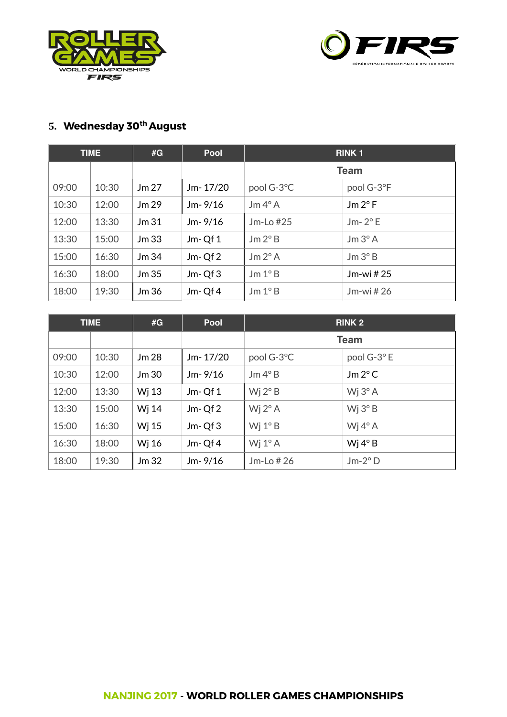



# **5. Wednesday 30th August**

|       | <b>TIME</b> | #G               | <b>Pool</b> | <b>RINK1</b>                    |                 |
|-------|-------------|------------------|-------------|---------------------------------|-----------------|
|       |             |                  |             | <b>Team</b>                     |                 |
| 09:00 | 10:30       | Jm 27            | Jm-17/20    | pool G-3°C                      | pool G-3°F      |
| 10:30 | 12:00       | Jm 29            | $Jm-9/16$   | $\text{Jm } 4^{\circ} \text{A}$ | $Jm 2^{\circ}F$ |
| 12:00 | 13:30       | Jm <sub>31</sub> | $Jm-9/16$   | $Jm$ -Lo $#25$                  | $Jm-2$ °E       |
| 13:30 | 15:00       | Jm <sub>33</sub> | $Jm-Qf1$    | Jm 2°B                          | $Jm 3^\circ A$  |
| 15:00 | 16:30       | Jm34             | $Jm-Qf2$    | Jm 2°A                          | Jm 3° B         |
| 16:30 | 18:00       | Jm <sub>35</sub> | $Jm-Qf3$    | Jm 1°B                          | Jm-wi $#25$     |
| 18:00 | 19:30       | Jm 36            | $Jm-Qf4$    | Jm 1°B                          | Jm-wi $#26$     |

|       | <b>TIME</b> | #G               | <b>Pool</b> | <b>RINK 2</b>    |                                 |
|-------|-------------|------------------|-------------|------------------|---------------------------------|
|       |             |                  |             | <b>Team</b>      |                                 |
| 09:00 | 10:30       | Jm 28            | Jm-17/20    | pool G-3°C       | pool G-3°E                      |
| 10:30 | 12:00       | Jm30             | $Jm-9/16$   | Jm 4°B           | $Jm 2^{\circ}C$                 |
| 12:00 | 13:30       | Wi 13            | $Jm-Qf1$    | Wj $2^{\circ}$ B | $Wj 3^\circ A$                  |
| 13:30 | 15:00       | Wj 14            | $Jm-Qf2$    | Wj $2^{\circ}$ A | W <sub>i</sub> 3 <sup>°</sup> B |
| 15:00 | 16:30       | Wj 15            | $Jm-Qf3$    | Wj $1^\circ$ B   | Wj $4^\circ$ A                  |
| 16:30 | 18:00       | Wj 16            | $Jm-Qf4$    | Wj $1^\circ$ A   | Wi $4°B$                        |
| 18:00 | 19:30       | Jm <sub>32</sub> | $Jm-9/16$   | $Jm$ -Lo $#26$   | $Jm-2°D$                        |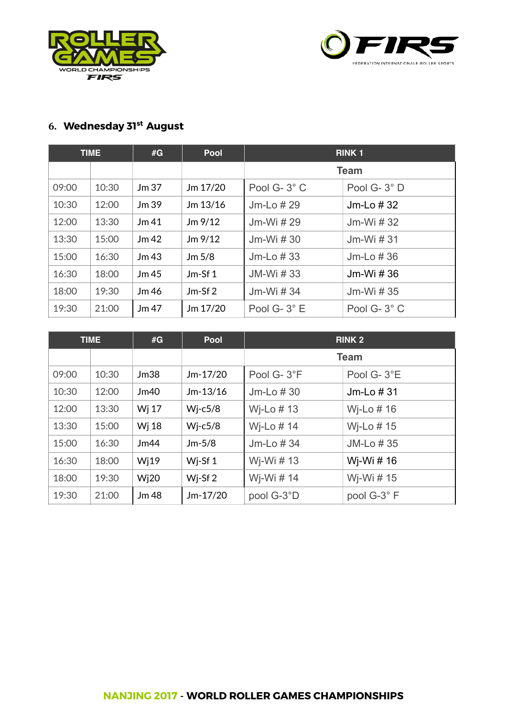



#### **6. Wednesday 31st August**

|       | <b>TIME</b> | #G               | Pool              | <b>RINK1</b> |             |
|-------|-------------|------------------|-------------------|--------------|-------------|
|       |             |                  |                   |              | <b>Team</b> |
| 09:00 | 10:30       | Jm <sub>37</sub> | $Jm$ 17/20        | Pool G-3°C   | Pool G-3°D  |
| 10:30 | 12:00       | Jm39             | Jm 13/16          | Jm-Lo $#29$  | Jm-Lo $#32$ |
| 12:00 | 13:30       | Jm <sub>41</sub> | $Jm$ 9/12         | Jm-Wi # 29   | Jm-Wi $#32$ |
| 13:30 | 15:00       | Jm <sub>42</sub> | $Jm$ 9/12         | Jm-Wi $#30$  | Jm-Wi $#31$ |
| 15:00 | 16:30       | Jm <sub>43</sub> | Jm <sub>5/8</sub> | Jm-Lo $#33$  | Jm-Lo $#36$ |
| 16:30 | 18:00       | Jm <sub>45</sub> | Jm-Sf $1$         | JM-Wi #33    | Jm-Wi # 36  |
| 18:00 | 19:30       | Jm46             | $Jm-Sf2$          | Jm-Wi # 34   | Jm-Wi # 35  |
| 19:30 | 21:00       | Jm <sub>47</sub> | Jm 17/20          | Pool G-3°E   | Pool G-3°C  |

|       | <b>TIME</b> | #G                | Pool               | <b>RINK 2</b>  |              |
|-------|-------------|-------------------|--------------------|----------------|--------------|
|       |             |                   |                    |                | <b>Team</b>  |
| 09:00 | 10:30       | Jm38              | $Jm-17/20$         | Pool G-3°F     | Pool G-3°E   |
| 10:30 | 12:00       | Jm40              | $Jm-13/16$         | $Jm$ -Lo $#30$ | Jm-Lo $#31$  |
| 12:00 | 13:30       | Wj 17             | $Wj-c5/8$          | Wi-Lo $# 13$   | Wi-Lo $# 16$ |
| 13:30 | 15:00       | Wj 18             | $Wj-c5/8$          | Wj-Lo $# 14$   | Wi-Lo $# 15$ |
| 15:00 | 16:30       | Jm44              | $Jm-5/8$           | Jm-Lo $#34$    | JM-Lo #35    |
| 16:30 | 18:00       | W <sub>i</sub> 19 | Wj-Sf 1            | Wj-Wi # 13     | Wj-Wi # 16   |
| 18:00 | 19:30       | W <sub>i</sub> 20 | Wi-Sf <sub>2</sub> | Wj-Wi # 14     | Wj-Wi # 15   |
| 19:30 | 21:00       | Jm 48             | $Jm-17/20$         | pool G-3°D     | pool G-3°F   |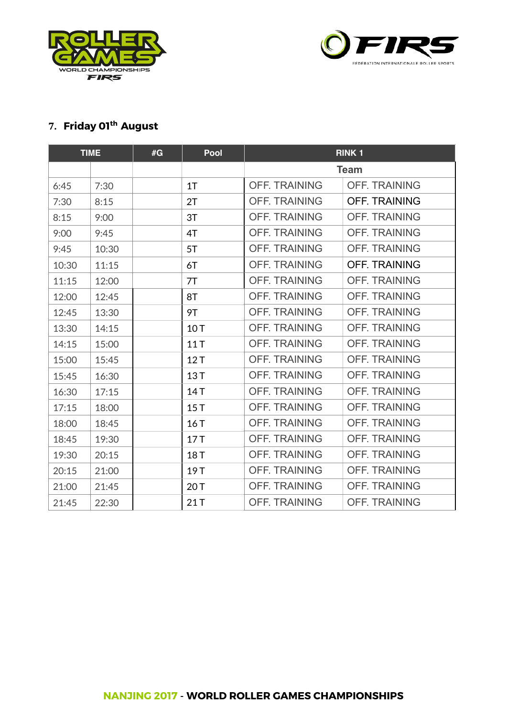



### **7. Friday 01th August**

|       | <b>TIME</b> | #G | Pool | <b>RINK1</b>         |                      |
|-------|-------------|----|------|----------------------|----------------------|
|       |             |    |      |                      | <b>Team</b>          |
| 6:45  | 7:30        |    | 1T   | <b>OFF. TRAINING</b> | <b>OFF. TRAINING</b> |
| 7:30  | 8:15        |    | 2T   | <b>OFF. TRAINING</b> | <b>OFF. TRAINING</b> |
| 8:15  | 9:00        |    | 3T   | <b>OFF. TRAINING</b> | <b>OFF. TRAINING</b> |
| 9:00  | 9:45        |    | 4T   | <b>OFF. TRAINING</b> | <b>OFF. TRAINING</b> |
| 9:45  | 10:30       |    | 5T   | <b>OFF. TRAINING</b> | <b>OFF. TRAINING</b> |
| 10:30 | 11:15       |    | 6T   | <b>OFF. TRAINING</b> | <b>OFF. TRAINING</b> |
| 11:15 | 12:00       |    | 7T   | <b>OFF. TRAINING</b> | <b>OFF. TRAINING</b> |
| 12:00 | 12:45       |    | 8T   | <b>OFF. TRAINING</b> | <b>OFF. TRAINING</b> |
| 12:45 | 13:30       |    | 9T   | <b>OFF. TRAINING</b> | <b>OFF. TRAINING</b> |
| 13:30 | 14:15       |    | 10T  | <b>OFF. TRAINING</b> | <b>OFF. TRAINING</b> |
| 14:15 | 15:00       |    | 11T  | <b>OFF. TRAINING</b> | <b>OFF. TRAINING</b> |
| 15:00 | 15:45       |    | 12T  | <b>OFF. TRAINING</b> | <b>OFF. TRAINING</b> |
| 15:45 | 16:30       |    | 13T  | <b>OFF. TRAINING</b> | <b>OFF. TRAINING</b> |
| 16:30 | 17:15       |    | 14T  | <b>OFF. TRAINING</b> | <b>OFF. TRAINING</b> |
| 17:15 | 18:00       |    | 15T  | <b>OFF. TRAINING</b> | <b>OFF. TRAINING</b> |
| 18:00 | 18:45       |    | 16T  | <b>OFF. TRAINING</b> | <b>OFF. TRAINING</b> |
| 18:45 | 19:30       |    | 17T  | <b>OFF. TRAINING</b> | <b>OFF. TRAINING</b> |
| 19:30 | 20:15       |    | 18T  | <b>OFF. TRAINING</b> | <b>OFF. TRAINING</b> |
| 20:15 | 21:00       |    | 19T  | <b>OFF. TRAINING</b> | <b>OFF. TRAINING</b> |
| 21:00 | 21:45       |    | 20T  | <b>OFF. TRAINING</b> | <b>OFF. TRAINING</b> |
| 21:45 | 22:30       |    | 21T  | <b>OFF. TRAINING</b> | <b>OFF. TRAINING</b> |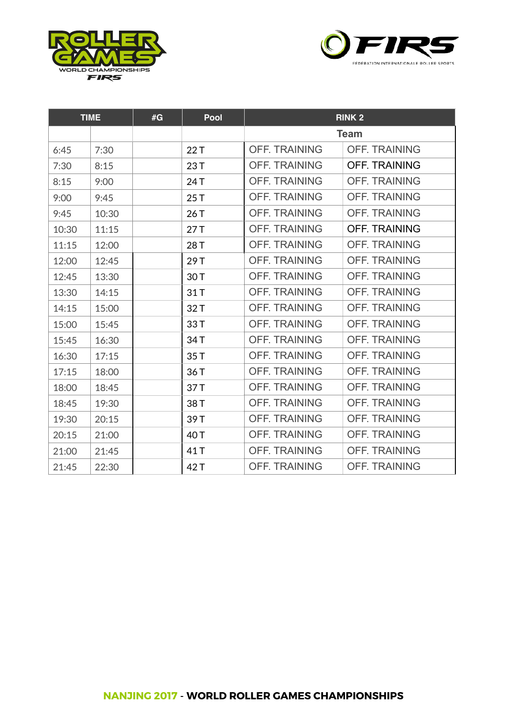



|       | <b>TIME</b> | #G | Pool | <b>RINK 2</b>        |                      |
|-------|-------------|----|------|----------------------|----------------------|
|       |             |    |      |                      | <b>Team</b>          |
| 6:45  | 7:30        |    | 22T  | <b>OFF. TRAINING</b> | <b>OFF. TRAINING</b> |
| 7:30  | 8:15        |    | 23T  | <b>OFF. TRAINING</b> | <b>OFF. TRAINING</b> |
| 8:15  | 9:00        |    | 24 T | <b>OFF. TRAINING</b> | <b>OFF. TRAINING</b> |
| 9:00  | 9:45        |    | 25T  | <b>OFF. TRAINING</b> | <b>OFF. TRAINING</b> |
| 9:45  | 10:30       |    | 26T  | <b>OFF. TRAINING</b> | <b>OFF. TRAINING</b> |
| 10:30 | 11:15       |    | 27T  | <b>OFF. TRAINING</b> | <b>OFF. TRAINING</b> |
| 11:15 | 12:00       |    | 28T  | <b>OFF. TRAINING</b> | <b>OFF. TRAINING</b> |
| 12:00 | 12:45       |    | 29T  | <b>OFF. TRAINING</b> | <b>OFF. TRAINING</b> |
| 12:45 | 13:30       |    | 30T  | <b>OFF. TRAINING</b> | <b>OFF. TRAINING</b> |
| 13:30 | 14:15       |    | 31T  | <b>OFF. TRAINING</b> | <b>OFF. TRAINING</b> |
| 14:15 | 15:00       |    | 32T  | <b>OFF. TRAINING</b> | <b>OFF. TRAINING</b> |
| 15:00 | 15:45       |    | 33T  | <b>OFF. TRAINING</b> | <b>OFF. TRAINING</b> |
| 15:45 | 16:30       |    | 34T  | <b>OFF. TRAINING</b> | <b>OFF. TRAINING</b> |
| 16:30 | 17:15       |    | 35T  | <b>OFF. TRAINING</b> | <b>OFF. TRAINING</b> |
| 17:15 | 18:00       |    | 36T  | <b>OFF. TRAINING</b> | <b>OFF. TRAINING</b> |
| 18:00 | 18:45       |    | 37T  | <b>OFF. TRAINING</b> | <b>OFF. TRAINING</b> |
| 18:45 | 19:30       |    | 38T  | <b>OFF. TRAINING</b> | <b>OFF. TRAINING</b> |
| 19:30 | 20:15       |    | 39T  | <b>OFF. TRAINING</b> | <b>OFF. TRAINING</b> |
| 20:15 | 21:00       |    | 40 T | <b>OFF. TRAINING</b> | <b>OFF. TRAINING</b> |
| 21:00 | 21:45       |    | 41T  | <b>OFF. TRAINING</b> | <b>OFF. TRAINING</b> |
| 21:45 | 22:30       |    | 42 T | <b>OFF. TRAINING</b> | <b>OFF. TRAINING</b> |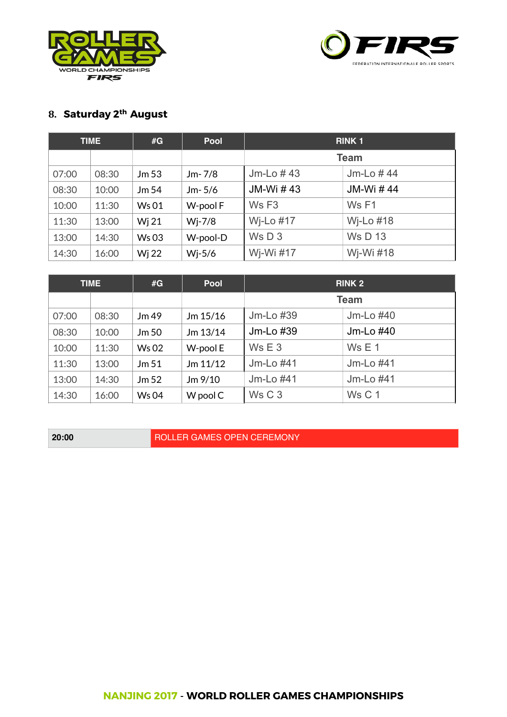



# **8. Saturday 2th August**

|       | <b>TIME</b> | #G               | <b>Pool</b> | <b>RINK1</b>      |                 |
|-------|-------------|------------------|-------------|-------------------|-----------------|
|       |             |                  |             | <b>Team</b>       |                 |
| 07:00 | 08:30       | Jm <sub>53</sub> | $Jm-7/8$    | Jm-Lo $#43$       | $Jm$ -Lo $#$ 44 |
| 08:30 | 10:00       | Jm 54            | $Jm-5/6$    | JM-Wi #43         | <b>JM-Wi#44</b> |
| 10:00 | 11:30       | <b>Ws 01</b>     | W-pool F    | Ws F <sub>3</sub> | Ws F1           |
| 11:30 | 13:00       | Wi 21            | $Wi-7/8$    | Wj-Lo #17         | Wj-Lo #18       |
| 13:00 | 14:30       | <b>Ws03</b>      | W-pool-D    | Ws D3             | <b>Ws D 13</b>  |
| 14:30 | 16:00       | Wj 22            | $Wj-5/6$    | Wj-Wi #17         | Wj-Wi #18       |

|       | <b>TIME</b> | #G           | <b>Pool</b> | <b>RINK 2</b>     |                |
|-------|-------------|--------------|-------------|-------------------|----------------|
|       |             |              |             | <b>Team</b>       |                |
| 07:00 | 08:30       | Jm 49        | Jm 15/16    | Jm-Lo #39         | Jm-Lo #40      |
| 08:30 | 10:00       | Jm 50        | Jm 13/14    | Jm-Lo #39         | Jm-Lo #40      |
| 10:00 | 11:30       | <b>Ws 02</b> | W-pool E    | Ws E3             | Ws E 1         |
| 11:30 | 13:00       | Jm 51        | Jm 11/12    | Jm-Lo #41         | $Jm$ -Lo $#41$ |
| 13:00 | 14:30       | Jm 52        | $Jm$ 9/10   | Jm-Lo #41         | Jm-Lo #41      |
| 14:30 | 16:00       | <b>Ws 04</b> | W pool C    | Ws C <sub>3</sub> | Ws C 1         |

**20:00** ROLLER GAMES OPEN CEREMONY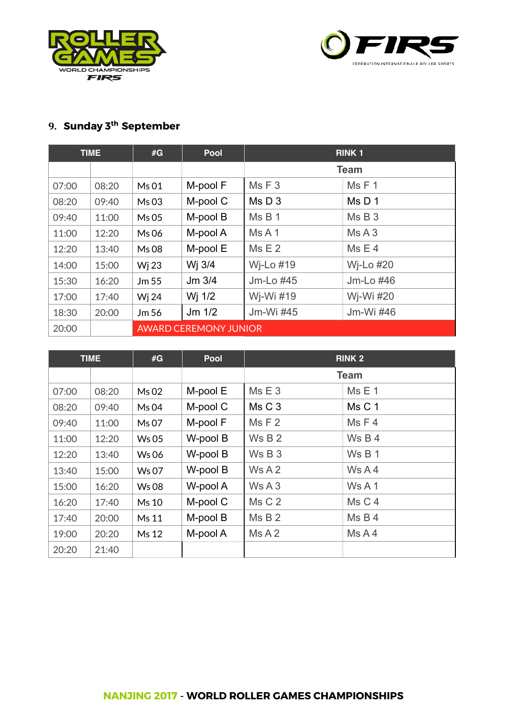



# **9. Sunday 3th September**

|       | <b>TIME</b> | #G    | Pool                         | <b>RINK1</b>   |             |
|-------|-------------|-------|------------------------------|----------------|-------------|
|       |             |       |                              |                | <b>Team</b> |
| 07:00 | 08:20       | Ms 01 | M-pool F                     | MsF3           | MsF1        |
| 08:20 | 09:40       | Ms 03 | M-pool C                     | Ms D3          | Ms D 1      |
| 09:40 | 11:00       | Ms 05 | M-pool B                     | Ms B 1         | Ms B3       |
| 11:00 | 12:20       | Ms 06 | M-pool A                     | MsA1           | MsA3        |
| 12:20 | 13:40       | Ms 08 | M-pool E                     | Ms E2          | Ms E4       |
| 14:00 | 15:00       | Wj 23 | Wj 3/4                       | Wj-Lo $#19$    | Wj-Lo $#20$ |
| 15:30 | 16:20       | Jm 55 | $Jm$ 3/4                     | $Jm$ -Lo $#45$ | Jm-Lo #46   |
| 17:00 | 17:40       | Wj 24 | Wj 1/2                       | Wj-Wi #19      | Wj-Wi #20   |
| 18:30 | 20:00       | Jm 56 | $Jm$ 1/2                     | Jm-Wi #45      | Jm-Wi #46   |
| 20:00 |             |       | <b>AWARD CEREMONY JUNIOR</b> |                |             |

|       | <b>TIME</b> | #G           | Pool     | <b>RINK 2</b> |             |
|-------|-------------|--------------|----------|---------------|-------------|
|       |             |              |          |               | <b>Team</b> |
| 07:00 | 08:20       | Ms 02        | M-pool E | Ms E3         | Ms E1       |
| 08:20 | 09:40       | Ms 04        | M-pool C | Ms C 3        | Ms C 1      |
| 09:40 | 11:00       | Ms 07        | M-pool F | Ms F2         | MsF4        |
| 11:00 | 12:20       | <b>Ws 05</b> | W-pool B | Ws B 2        | Ws B 4      |
| 12:20 | 13:40       | <b>Ws06</b>  | W-pool B | Ws B3         | Ws B 1      |
| 13:40 | 15:00       | Ws 07        | W-pool B | Ws A2         | WSA4        |
| 15:00 | 16:20       | <b>Ws08</b>  | W-pool A | Ws A3         | Ws A 1      |
| 16:20 | 17:40       | Ms 10        | M-pool C | Ms C 2        | Ms C 4      |
| 17:40 | 20:00       | Ms 11        | M-pool B | MsB2          | Ms B4       |
| 19:00 | 20:20       | Ms 12        | M-pool A | MsA2          | MsA4        |
| 20:20 | 21:40       |              |          |               |             |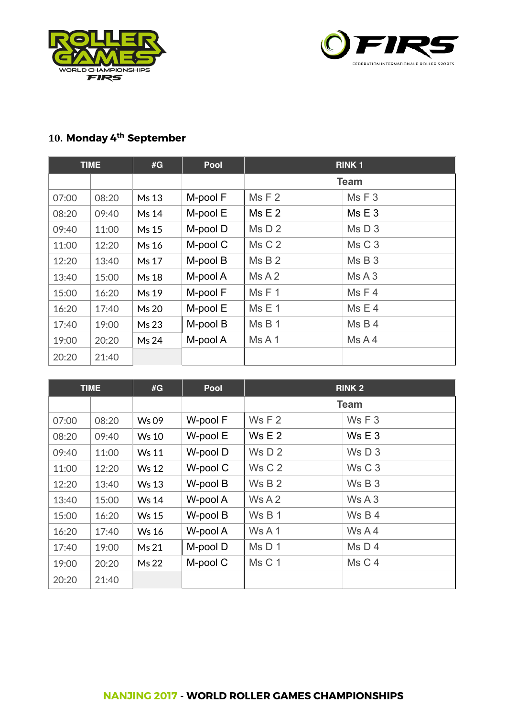



## **10. Monday 4th September**

|       | <b>TIME</b> | #G    | <b>Pool</b> | <b>RINK1</b> |             |
|-------|-------------|-------|-------------|--------------|-------------|
|       |             |       |             |              | <b>Team</b> |
| 07:00 | 08:20       | Ms 13 | M-pool F    | Ms F2        | MsF3        |
| 08:20 | 09:40       | Ms 14 | M-pool E    | Ms E2        | Ms E3       |
| 09:40 | 11:00       | Ms 15 | M-pool D    | Ms D2        | MsD3        |
| 11:00 | 12:20       | Ms 16 | M-pool C    | Ms C 2       | Ms C 3      |
| 12:20 | 13:40       | Ms 17 | M-pool B    | MsB2         | MsB3        |
| 13:40 | 15:00       | Ms 18 | M-pool A    | MsA2         | MsA3        |
| 15:00 | 16:20       | Ms 19 | M-pool F    | MsF1         | MsF4        |
| 16:20 | 17:40       | Ms 20 | M-pool E    | Ms E 1       | Ms E4       |
| 17:40 | 19:00       | Ms 23 | M-pool B    | MsB1         | Ms B4       |
| 19:00 | 20:20       | Ms 24 | M-pool A    | MsA1         | MsA4        |
| 20:20 | 21:40       |       |             |              |             |

|       | <b>TIME</b> | #G           | Pool     | <b>RINK 2</b> |                   |
|-------|-------------|--------------|----------|---------------|-------------------|
|       |             |              |          |               | <b>Team</b>       |
| 07:00 | 08:20       | Ws 09        | W-pool F | WsF2          | WSF3              |
| 08:20 | 09:40       | <b>Ws 10</b> | W-pool E | Ws E 2        | Ws E3             |
| 09:40 | 11:00       | <b>Ws 11</b> | W-pool D | Ws D 2        | Ws D3             |
| 11:00 | 12:20       | <b>Ws 12</b> | W-pool C | Ws C 2        | Ws C <sub>3</sub> |
| 12:20 | 13:40       | <b>Ws 13</b> | W-pool B | Ws B 2        | WSB3              |
| 13:40 | 15:00       | <b>Ws 14</b> | W-pool A | Ws A2         | Ws A3             |
| 15:00 | 16:20       | <b>Ws 15</b> | W-pool B | Ws B 1        | WSB4              |
| 16:20 | 17:40       | <b>Ws 16</b> | W-pool A | WsA1          | Ws A4             |
| 17:40 | 19:00       | Ms 21        | M-pool D | Ms D 1        | Ms D4             |
| 19:00 | 20:20       | Ms 22        | M-pool C | Ms C 1        | Ms C 4            |
| 20:20 | 21:40       |              |          |               |                   |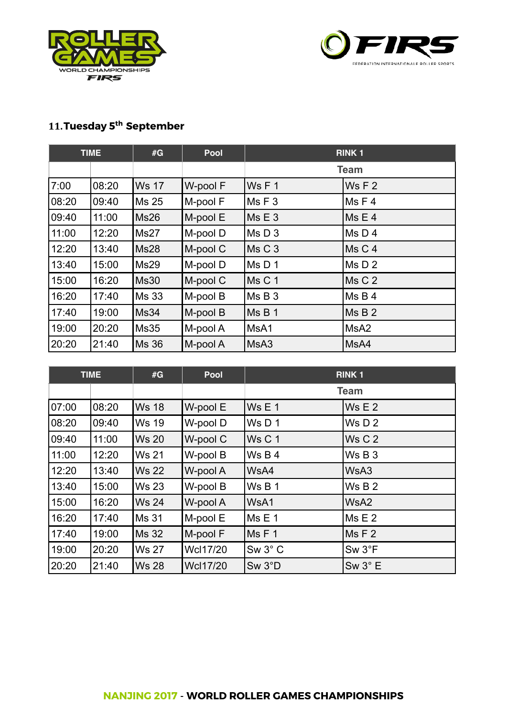



### **11.Tuesday 5th September**

|       | <b>TIME</b> | #G           | Pool     | <b>RINK1</b> |                  |
|-------|-------------|--------------|----------|--------------|------------------|
|       |             |              |          |              | <b>Team</b>      |
| 7:00  | 08:20       | <b>Ws 17</b> | W-pool F | Ws F 1       | Ws F 2           |
| 08:20 | 09:40       | Ms 25        | M-pool F | MsF3         | MsF4             |
| 09:40 | 11:00       | Ms26         | M-pool E | Ms E 3       | Ms E4            |
| 11:00 | 12:20       | Ms27         | M-pool D | MSD3         | Ms D4            |
| 12:20 | 13:40       | Ms28         | M-pool C | Ms C 3       | Ms C4            |
| 13:40 | 15:00       | Ms29         | M-pool D | MsD1         | Ms D 2           |
| 15:00 | 16:20       | Ms30         | M-pool C | Ms C 1       | Ms C 2           |
| 16:20 | 17:40       | Ms 33        | M-pool B | Ms B3        | Ms B4            |
| 17:40 | 19:00       | Ms34         | M-pool B | MsB1         | MS B 2           |
| 19:00 | 20:20       | MS35         | M-pool A | MsA1         | MsA <sub>2</sub> |
| 20:20 | 21:40       | Ms 36        | M-pool A | MsA3         | MsA4             |

|       | <b>TIME</b> | #G           | Pool            | <b>RINK1</b>      |                     |
|-------|-------------|--------------|-----------------|-------------------|---------------------|
|       |             |              |                 |                   | <b>Team</b>         |
| 07:00 | 08:20       | <b>Ws 18</b> | W-pool E        | Ws E 1            | Ws E 2              |
| 08:20 | 09:40       | <b>Ws 19</b> | W-pool D        | WsD1              | Ws D 2              |
| 09:40 | 11:00       | <b>Ws 20</b> | W-pool C        | Ws <sub>C</sub> 1 | Ws C 2              |
| 11:00 | 12:20       | <b>Ws 21</b> | W-pool B        | Ws B 4            | Ws B3               |
| 12:20 | 13:40       | <b>Ws 22</b> | W-pool A        | WsA4              | WsA3                |
| 13:40 | 15:00       | <b>Ws 23</b> | W-pool B        | Ws B 1            | Ws B 2              |
| 15:00 | 16:20       | <b>Ws 24</b> | W-pool A        | WsA1              | WsA2                |
| 16:20 | 17:40       | Ms 31        | M-pool E        | Ms E 1            | Ms E2               |
| 17:40 | 19:00       | Ms 32        | M-pool F        | MsF1              | MSF <sub>2</sub>    |
| 19:00 | 20:20       | <b>Ws 27</b> | <b>Wcl17/20</b> | $Sw 3^{\circ}$ C  | Sw 3 <sup>°</sup> F |
| 20:20 | 21:40       | <b>Ws 28</b> | <b>Wcl17/20</b> | Sw 3°D            | $Sw 3^{\circ} E$    |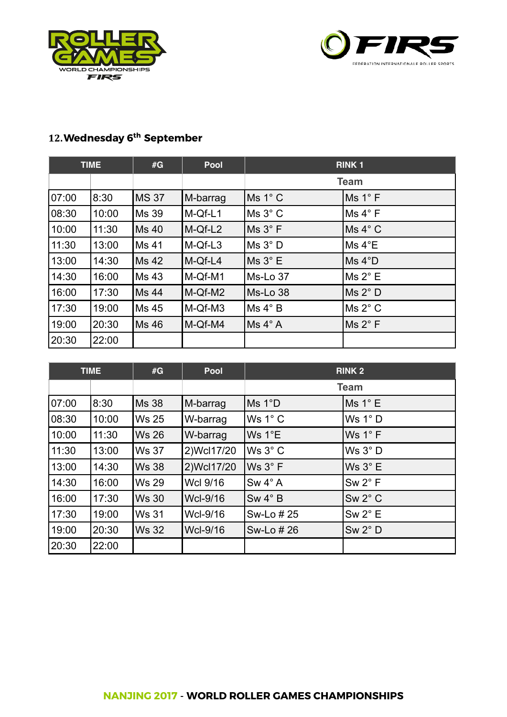



# **12.Wednesday 6th September**

|       | <b>TIME</b> | #G           | <b>Pool</b> | <b>RINK1</b> |                     |
|-------|-------------|--------------|-------------|--------------|---------------------|
|       |             |              |             |              | <b>Team</b>         |
| 07:00 | 8:30        | <b>MS 37</b> | M-barrag    | Ms 1°C       | Ms 1°F              |
| 08:30 | 10:00       | Ms 39        | M-Qf-L1     | Ms 3° C      | Ms 4° F             |
| 10:00 | 11:30       | Ms 40        | M-Qf-L2     | Ms 3° F      | MS 4° C             |
| 11:30 | 13:00       | <b>Ms 41</b> | M-Qf-L3     | Ms 3° D      | $Ms 4^{\circ}E$     |
| 13:00 | 14:30       | Ms 42        | M-Qf-L4     | Ms 3° E      | MS 4°D              |
| 14:30 | 16:00       | <b>Ms 43</b> | M-Qf-M1     | Ms-Lo 37     | Ms 2° E             |
| 16:00 | 17:30       | Ms 44        | M-Qf-M2     | Ms-Lo 38     | MS 2° D             |
| 17:30 | 19:00       | <b>Ms 45</b> | M-Qf-M3     | Ms 4°B       | Ms 2 <sup>°</sup> C |
| 19:00 | 20:30       | Ms 46        | M-Qf-M4     | Ms 4° A      | MS 2° F             |
| 20:30 | 22:00       |              |             |              |                     |

|       | <b>TIME</b> | #G           | Pool        | <b>RINK 2</b>    |                  |
|-------|-------------|--------------|-------------|------------------|------------------|
|       |             |              |             |                  | <b>Team</b>      |
| 07:00 | 8:30        | <b>Ms 38</b> | M-barrag    | MS 1°D           | Ms 1° E          |
| 08:30 | 10:00       | <b>Ws 25</b> | W-barrag    | Ws $1^\circ$ C   | Ws $1^\circ$ D   |
| 10:00 | 11:30       | <b>Ws 26</b> | W-barrag    | Ws $1^{\circ}E$  | Ws $1^\circ$ F   |
| 11:30 | 13:00       | <b>Ws 37</b> | 2) Wcl17/20 | $Ws 3^\circ C$   | Ws 3° D          |
| 13:00 | 14:30       | <b>Ws 38</b> | 2) Wcl17/20 | Ws 3° F          | Ws $3^\circ$ E   |
| 14:30 | 16:00       | <b>Ws 29</b> | Wcl 9/16    | $Sw 4^{\circ} A$ | $Sw 2^{\circ} F$ |
| 16:00 | 17:30       | <b>Ws 30</b> | Wcl-9/16    | $Sw 4^{\circ} B$ | $Sw 2^{\circ}$ C |
| 17:30 | 19:00       | <b>Ws 31</b> | Wcl-9/16    | Sw-Lo # 25       | $Sw 2^{\circ} E$ |
| 19:00 | 20:30       | <b>Ws 32</b> | Wcl-9/16    | Sw-Lo # 26       | $Sw 2^{\circ} D$ |
| 20:30 | 22:00       |              |             |                  |                  |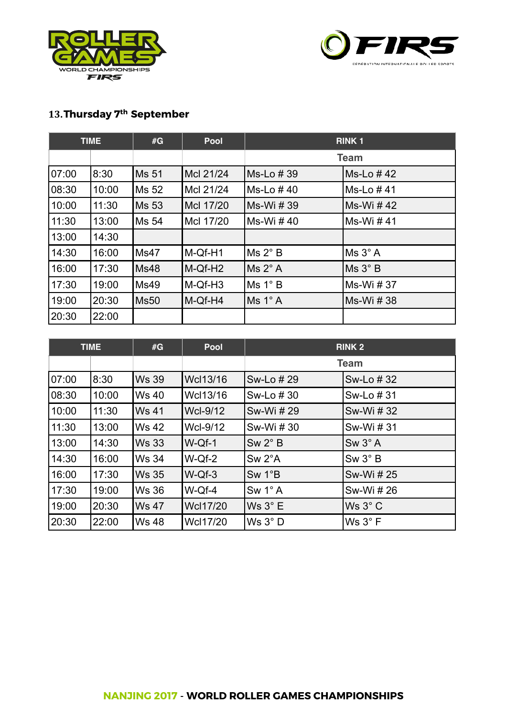



# **13.Thursday 7th September**

|       | <b>TIME</b> | #G           | <b>Pool</b>         | <b>RINK1</b> |             |
|-------|-------------|--------------|---------------------|--------------|-------------|
|       |             |              |                     |              | <b>Team</b> |
| 07:00 | 8:30        | <b>Ms 51</b> | McI 21/24           | Ms-Lo #39    | Ms-Lo #42   |
| 08:30 | 10:00       | Ms 52        | McI 21/24           | Ms-Lo #40    | Ms-Lo #41   |
| 10:00 | 11:30       | <b>Ms 53</b> | Mcl 17/20           | Ms-Wi # 39   | Ms-Wi #42   |
| 11:30 | 13:00       | Ms 54        | Mcl 17/20           | Ms-Wi #40    | Ms-Wi #41   |
| 13:00 | 14:30       |              |                     |              |             |
| 14:30 | 16:00       | Ms47         | M-Qf-H1             | Ms 2° B      | Ms 3° A     |
| 16:00 | 17:30       | <b>Ms48</b>  | M-Qf-H <sub>2</sub> | Ms 2° A      | Ms 3° B     |
| 17:30 | 19:00       | Ms49         | M-Qf-H <sub>3</sub> | Ms 1° B      | Ms-Wi # 37  |
| 19:00 | 20:30       | <b>Ms50</b>  | M-Qf-H4             | MS 1° A      | Ms-Wi # 38  |
| 20:30 | 22:00       |              |                     |              |             |

| <b>TIME</b> |       | #G           | <b>Pool</b>     | <b>RINK 2</b>    |                  |
|-------------|-------|--------------|-----------------|------------------|------------------|
|             |       |              |                 | <b>Team</b>      |                  |
| 07:00       | 8:30  | <b>Ws 39</b> | Wcl13/16        | Sw-Lo # 29       | Sw-Lo #32        |
| 08:30       | 10:00 | <b>Ws 40</b> | Wcl13/16        | Sw-Lo #30        | Sw-Lo # 31       |
| 10:00       | 11:30 | <b>Ws 41</b> | <b>Wcl-9/12</b> | Sw-Wi # 29       | Sw-Wi # 32       |
| 11:30       | 13:00 | <b>Ws 42</b> | Wcl-9/12        | Sw-Wi # 30       | Sw-Wi # 31       |
| 13:00       | 14:30 | <b>Ws 33</b> | W-Qf-1          | $Sw 2^{\circ} B$ | $Sw 3^{\circ} A$ |
| 14:30       | 16:00 | <b>Ws 34</b> | $W-Qf-2$        | $Sw 2^{\circ}A$  | $Sw 3^\circ B$   |
| 16:00       | 17:30 | <b>Ws 35</b> | $W-Qf-3$        | Sw 1°B           | Sw-Wi # 25       |
| 17:30       | 19:00 | <b>Ws 36</b> | W-Qf-4          | $Sw 1^{\circ} A$ | Sw-Wi # 26       |
| 19:00       | 20:30 | <b>Ws 47</b> | <b>Wcl17/20</b> | Ws $3^\circ$ E   | $Ws 3^\circ C$   |
| 20:30       | 22:00 | <b>Ws 48</b> | Wcl17/20        | Ws 3° D          | Ws 3° F          |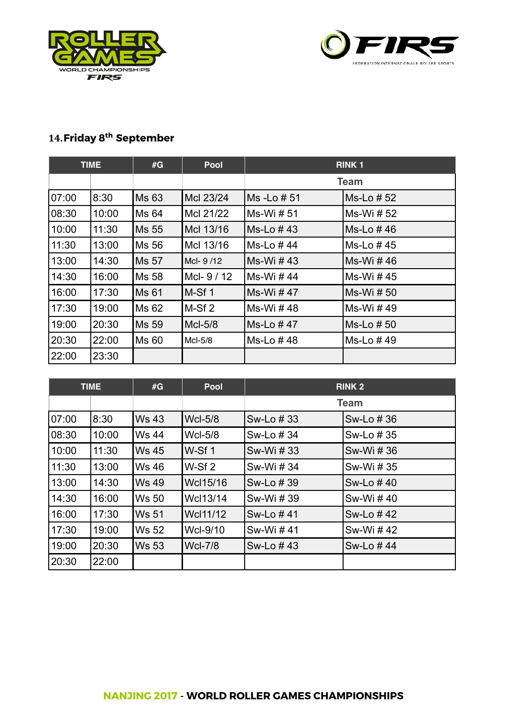



# **14.Friday 8th September**

| <b>TIME</b> |       | #G           | <b>Pool</b> | <b>RINK1</b>    |            |
|-------------|-------|--------------|-------------|-----------------|------------|
|             |       |              |             | <b>Team</b>     |            |
| 07:00       | 8:30  | <b>Ms 63</b> | Mcl 23/24   | Ms - Lo # 51    | Ms-Lo # 52 |
| 08:30       | 10:00 | <b>Ms 64</b> | McI 21/22   | Ms-Wi # 51      | Ms-Wi # 52 |
| 10:00       | 11:30 | <b>Ms 55</b> | Mcl 13/16   | $Ms$ -Lo $#$ 43 | Ms-Lo #46  |
| 11:30       | 13:00 | Ms 56        | McI 13/16   | Ms-Lo #44       | Ms-Lo #45  |
| 13:00       | 14:30 | <b>Ms 57</b> | McI-9/12    | Ms-Wi #43       | Ms-Wi #46  |
| 14:30       | 16:00 | Ms 58        | McI-9/12    | Ms-Wi #44       | Ms-Wi #45  |
| 16:00       | 17:30 | Ms 61        | M-Sf1       | Ms-Wi #47       | Ms-Wi # 50 |
| 17:30       | 19:00 | Ms 62        | $M-Sf2$     | Ms-Wi #48       | Ms-Wi #49  |
| 19:00       | 20:30 | Ms 59        | McI-5/8     | Ms-Lo #47       | Ms-Lo # 50 |
| 20:30       | 22:00 | Ms 60        | McI-5/8     | Ms-Lo #48       | Ms-Lo #49  |
| 22:00       | 23:30 |              |             |                 |            |

| <b>TIME</b> |       | #G           | <b>Pool</b>       | <b>RINK 2</b> |            |
|-------------|-------|--------------|-------------------|---------------|------------|
|             |       |              |                   | <b>Team</b>   |            |
| 07:00       | 8:30  | <b>Ws 43</b> | <b>Wcl-5/8</b>    | Sw-Lo # 33    | Sw-Lo # 36 |
| 08:30       | 10:00 | <b>Ws 44</b> | <b>Wcl-5/8</b>    | Sw-Lo # 34    | Sw-Lo # 35 |
| 10:00       | 11:30 | <b>Ws 45</b> | $W-Sf1$           | Sw-Wi # 33    | Sw-Wi # 36 |
| 11:30       | 13:00 | <b>Ws 46</b> | W-Sf <sub>2</sub> | Sw-Wi # 34    | Sw-Wi # 35 |
| 13:00       | 14:30 | <b>Ws 49</b> | Wcl15/16          | Sw-Lo # 39    | Sw-Lo #40  |
| 14:30       | 16:00 | <b>Ws 50</b> | Wcl13/14          | Sw-Wi # 39    | Sw-Wi #40  |
| 16:00       | 17:30 | <b>Ws 51</b> | Wcl11/12          | Sw-Lo #41     | Sw-Lo #42  |
| 17:30       | 19:00 | <b>Ws 52</b> | Wcl-9/10          | Sw-Wi #41     | Sw-Wi #42  |
| 19:00       | 20:30 | <b>Ws 53</b> | <b>Wcl-7/8</b>    | Sw-Lo #43     | Sw-Lo #44  |
| 20:30       | 22:00 |              |                   |               |            |